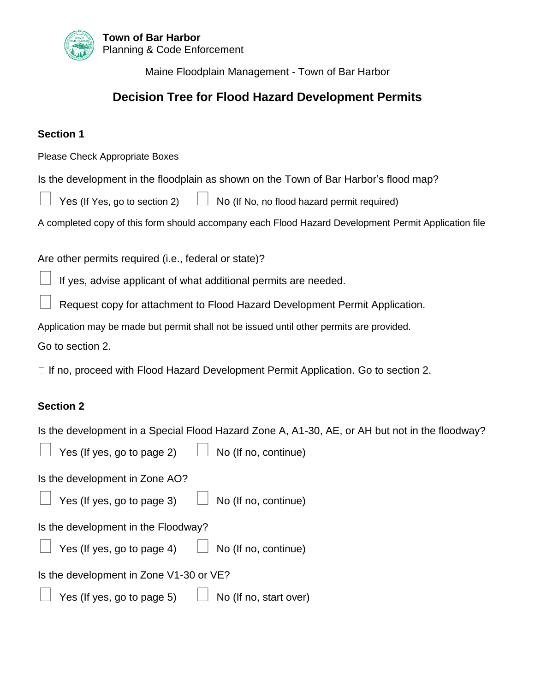

Maine Floodplain Management - Town of Bar Harbor

#### **Decision Tree for Flood Hazard Development Permits**

#### **Section 1**

Please Check Appropriate Boxes

Is the development in the floodplain as shown on the Town of Bar Harbor's flood map?

Yes (If Yes, go to section 2)  $\Box$  No (If No, no flood hazard permit required)

A completed copy of this form should accompany each Flood Hazard Development Permit Application file

Are other permits required (i.e., federal or state)?

If yes, advise applicant of what additional permits are needed.

Request copy for attachment to Flood Hazard Development Permit Application.

Application may be made but permit shall not be issued until other permits are provided.

Go to section 2.

 $\Box$  If no, proceed with Flood Hazard Development Permit Application. Go to section 2.

#### **Section 2**

Is the development in a Special Flood Hazard Zone A, A1-30, AE, or AH but not in the floodway?

| Yes (If yes, go to page 2)<br>No (If no, continue)          |
|-------------------------------------------------------------|
| Is the development in Zone AO?                              |
| Yes (If yes, go to page 3) $\Box$<br>No (If no, continue)   |
| Is the development in the Floodway?                         |
| Yes (If yes, go to page 4) $\Box$ No (If no, continue)      |
| Is the development in Zone V1-30 or VE?                     |
| Yes (If yes, go to page 5) $\Box$<br>No (If no, start over) |
|                                                             |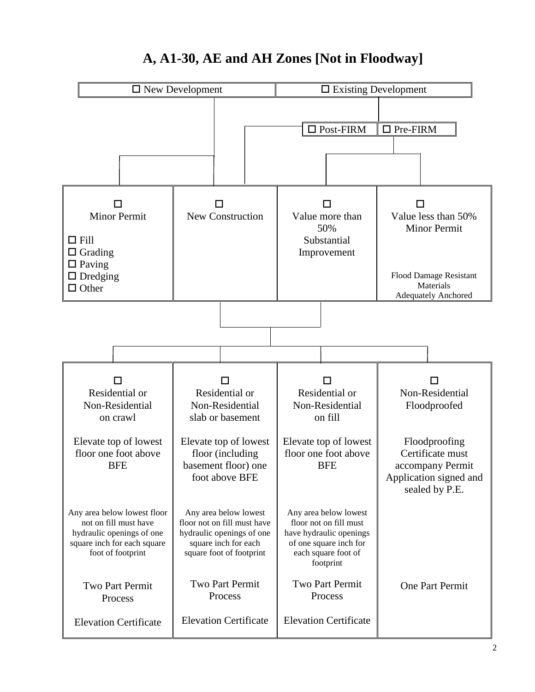

## **A, A1-30, AE and AH Zones [Not in Floodway]**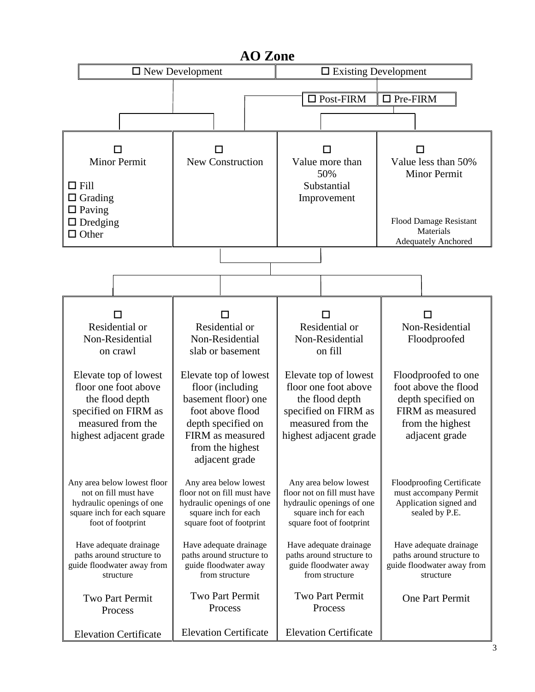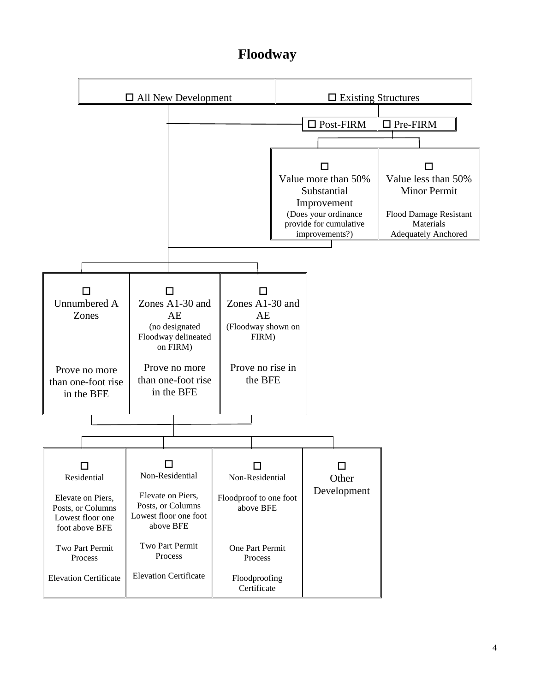# **Floodway**